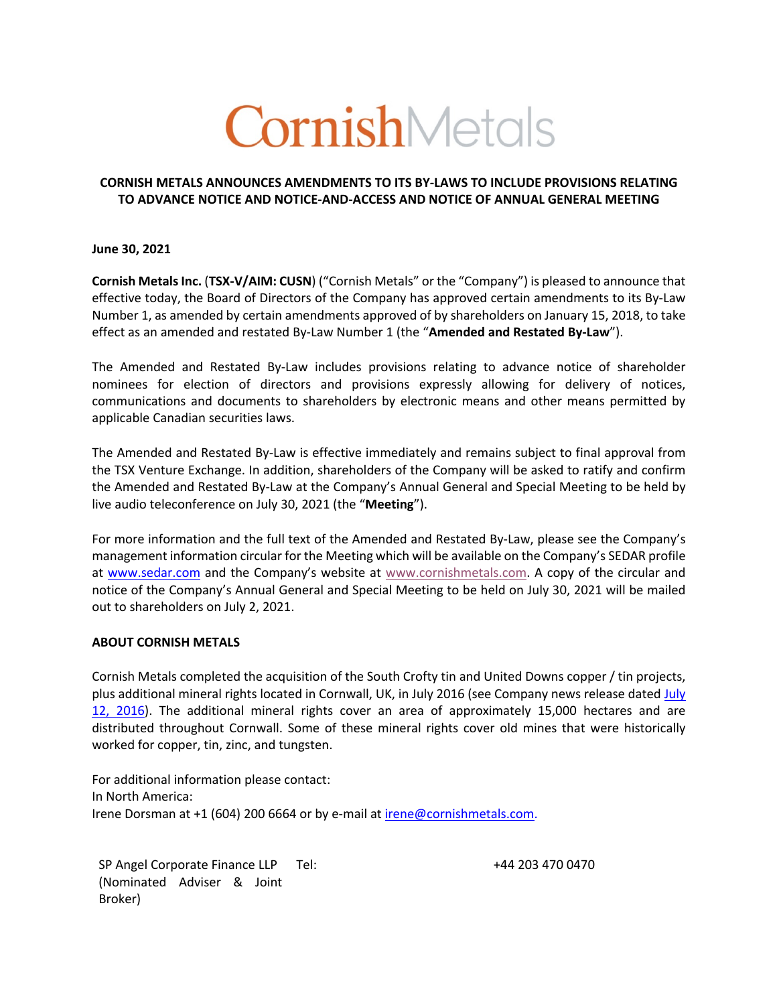# CornishMetals

## **CORNISH METALS ANNOUNCES AMENDMENTS TO ITS BY-LAWS TO INCLUDE PROVISIONS RELATING TO ADVANCE NOTICE AND NOTICE-AND-ACCESS AND NOTICE OF ANNUAL GENERAL MEETING**

**June 30, 2021**

**Cornish Metals Inc.** (**TSX-V/AIM: CUSN**) ("Cornish Metals" or the "Company") is pleased to announce that effective today, the Board of Directors of the Company has approved certain amendments to its By-Law Number 1, as amended by certain amendments approved of by shareholders on January 15, 2018, to take effect as an amended and restated By-Law Number 1 (the "**Amended and Restated By-Law**").

The Amended and Restated By-Law includes provisions relating to advance notice of shareholder nominees for election of directors and provisions expressly allowing for delivery of notices, communications and documents to shareholders by electronic means and other means permitted by applicable Canadian securities laws.

The Amended and Restated By-Law is effective immediately and remains subject to final approval from the TSX Venture Exchange. In addition, shareholders of the Company will be asked to ratify and confirm the Amended and Restated By-Law at the Company's Annual General and Special Meeting to be held by live audio teleconference on July 30, 2021 (the "**Meeting**").

For more information and the full text of the Amended and Restated By-Law, please see the Company's management information circular for the Meeting which will be available on the Company's SEDAR profile at www.sedar.com and the Company's website at www.cornishmetals.com. A copy of the circular and notice of the Company's Annual General and Special Meeting to be held on July 30, 2021 will be mailed out to shareholders on July 2, 2021.

### **ABOUT CORNISH METALS**

Cornish Metals completed the acquisition of the South Crofty tin and United Downs copper / tin projects, plus additional mineral rights located in Cornwall, UK, in July 2016 (see Company news release dated July 12, 2016). The additional mineral rights cover an area of approximately 15,000 hectares and are distributed throughout Cornwall. Some of these mineral rights cover old mines that were historically worked for copper, tin, zinc, and tungsten.

For additional information please contact: In North America: Irene Dorsman at +1 (604) 200 6664 or by e-mail at irene@cornishmetals.com.

SP Angel Corporate Finance LLP (Nominated Adviser & Joint Broker)

Tel: +44 203 470 0470